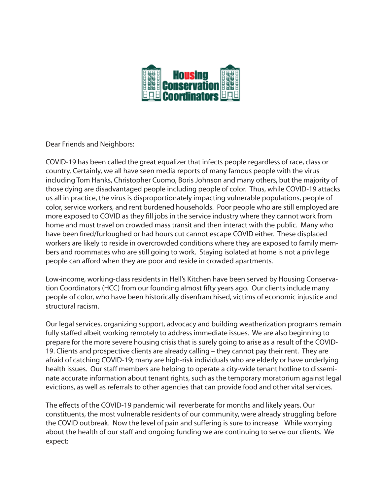

Dear Friends and Neighbors:

COVID-19 has been called the great equalizer that infects people regardless of race, class or country. Certainly, we all have seen media reports of many famous people with the virus including Tom Hanks, Christopher Cuomo, Boris Johnson and many others, but the majority of those dying are disadvantaged people including people of color. Thus, while COVID-19 attacks us all in practice, the virus is disproportionately impacting vulnerable populations, people of color, service workers, and rent burdened households. Poor people who are still employed are more exposed to COVID as they fill jobs in the service industry where they cannot work from home and must travel on crowded mass transit and then interact with the public. Many who have been fired/furloughed or had hours cut cannot escape COVID either. These displaced workers are likely to reside in overcrowded conditions where they are exposed to family members and roommates who are still going to work. Staying isolated at home is not a privilege people can afford when they are poor and reside in crowded apartments.

Low-income, working-class residents in Hell's Kitchen have been served by Housing Conservation Coordinators (HCC) from our founding almost fty years ago. Our clients include many people of color, who have been historically disenfranchised, victims of economic injustice and structural racism.

Our legal services, organizing support, advocacy and building weatherization programs remain fully staffed albeit working remotely to address immediate issues. We are also beginning to prepare for the more severe housing crisis that is surely going to arise as a result of the COVID-19. Clients and prospective clients are already calling – they cannot pay their rent. They are afraid of catching COVID-19; many are high-risk individuals who are elderly or have underlying health issues. Our staff members are helping to operate a city-wide tenant hotline to disseminate accurate information about tenant rights, such as the temporary moratorium against legal evictions, as well as referrals to other agencies that can provide food and other vital services.

The effects of the COVID-19 pandemic will reverberate for months and likely years. Our constituents, the most vulnerable residents of our community, were already struggling before the COVID outbreak. Now the level of pain and suffering is sure to increase. While worrying about the health of our staff and ongoing funding we are continuing to serve our clients. We expect: